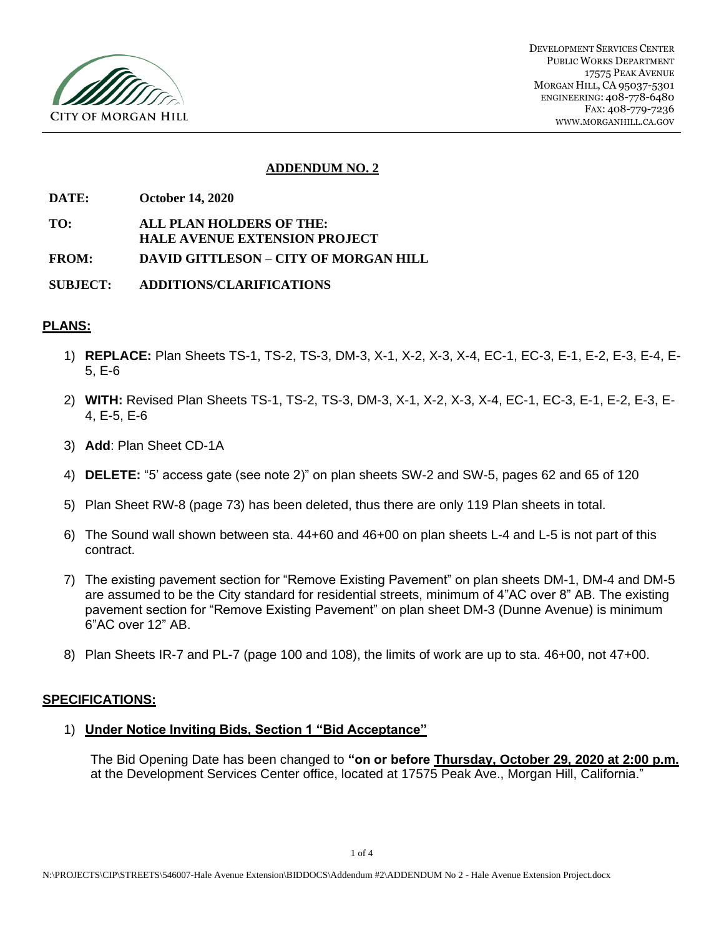

## **ADDENDUM NO. 2**

- **DATE: October 14, 2020**
- **TO: ALL PLAN HOLDERS OF THE: HALE AVENUE EXTENSION PROJECT**
- **FROM: DAVID GITTLESON – CITY OF MORGAN HILL**
- **SUBJECT: ADDITIONS/CLARIFICATIONS**

#### **PLANS:**

- 1) **REPLACE:** Plan Sheets TS-1, TS-2, TS-3, DM-3, X-1, X-2, X-3, X-4, EC-1, EC-3, E-1, E-2, E-3, E-4, E-5, E-6
- 2) **WITH:** Revised Plan Sheets TS-1, TS-2, TS-3, DM-3, X-1, X-2, X-3, X-4, EC-1, EC-3, E-1, E-2, E-3, E-4, E-5, E-6
- 3) **Add**: Plan Sheet CD-1A
- 4) **DELETE:** "5' access gate (see note 2)" on plan sheets SW-2 and SW-5, pages 62 and 65 of 120
- 5) Plan Sheet RW-8 (page 73) has been deleted, thus there are only 119 Plan sheets in total.
- 6) The Sound wall shown between sta. 44+60 and 46+00 on plan sheets L-4 and L-5 is not part of this contract.
- 7) The existing pavement section for "Remove Existing Pavement" on plan sheets DM-1, DM-4 and DM-5 are assumed to be the City standard for residential streets, minimum of 4"AC over 8" AB. The existing pavement section for "Remove Existing Pavement" on plan sheet DM-3 (Dunne Avenue) is minimum 6"AC over 12" AB.
- 8) Plan Sheets IR-7 and PL-7 (page 100 and 108), the limits of work are up to sta. 46+00, not 47+00.

#### **SPECIFICATIONS:**

## 1) **Under Notice Inviting Bids, Section 1 "Bid Acceptance"**

The Bid Opening Date has been changed to **"on or before Thursday, October 29, 2020 at 2:00 p.m.** at the Development Services Center office, located at 17575 Peak Ave., Morgan Hill, California."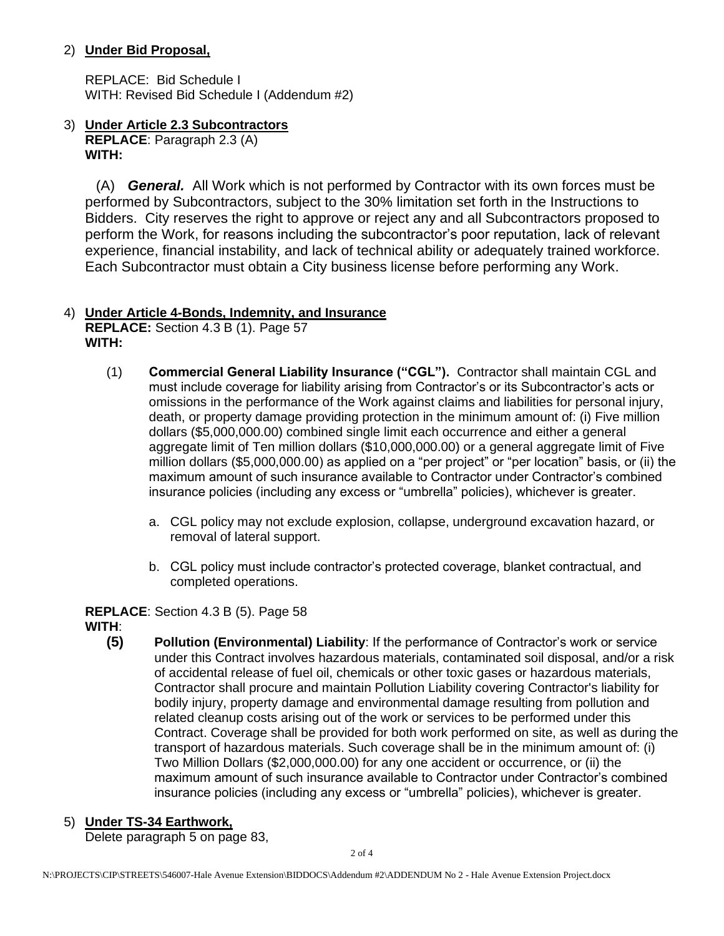## 2) **Under Bid Proposal,**

REPLACE: Bid Schedule I WITH: Revised Bid Schedule I (Addendum #2)

3) **Under Article 2.3 Subcontractors REPLACE**: Paragraph 2.3 (A) **WITH:**

 (A) *General.* All Work which is not performed by Contractor with its own forces must be performed by Subcontractors, subject to the 30% limitation set forth in the Instructions to Bidders. City reserves the right to approve or reject any and all Subcontractors proposed to perform the Work, for reasons including the subcontractor's poor reputation, lack of relevant experience, financial instability, and lack of technical ability or adequately trained workforce. Each Subcontractor must obtain a City business license before performing any Work.

#### 4) **Under Article 4-Bonds, Indemnity, and Insurance REPLACE:** Section 4.3 B (1). Page 57 **WITH:**

- (1) **Commercial General Liability Insurance ("CGL").** Contractor shall maintain CGL and must include coverage for liability arising from Contractor's or its Subcontractor's acts or omissions in the performance of the Work against claims and liabilities for personal injury, death, or property damage providing protection in the minimum amount of: (i) Five million dollars (\$5,000,000.00) combined single limit each occurrence and either a general aggregate limit of Ten million dollars (\$10,000,000.00) or a general aggregate limit of Five million dollars (\$5,000,000.00) as applied on a "per project" or "per location" basis, or (ii) the maximum amount of such insurance available to Contractor under Contractor's combined insurance policies (including any excess or "umbrella" policies), whichever is greater.
	- a. CGL policy may not exclude explosion, collapse, underground excavation hazard, or removal of lateral support.
	- b. CGL policy must include contractor's protected coverage, blanket contractual, and completed operations.

**REPLACE**: Section 4.3 B (5). Page 58

- **WITH**:
	- **(5) Pollution (Environmental) Liability**: If the performance of Contractor's work or service under this Contract involves hazardous materials, contaminated soil disposal, and/or a risk of accidental release of fuel oil, chemicals or other toxic gases or hazardous materials, Contractor shall procure and maintain Pollution Liability covering Contractor's liability for bodily injury, property damage and environmental damage resulting from pollution and related cleanup costs arising out of the work or services to be performed under this Contract. Coverage shall be provided for both work performed on site, as well as during the transport of hazardous materials. Such coverage shall be in the minimum amount of: (i) Two Million Dollars (\$2,000,000.00) for any one accident or occurrence, or (ii) the maximum amount of such insurance available to Contractor under Contractor's combined insurance policies (including any excess or "umbrella" policies), whichever is greater.

# 5) **Under TS-34 Earthwork,**

Delete paragraph 5 on page 83,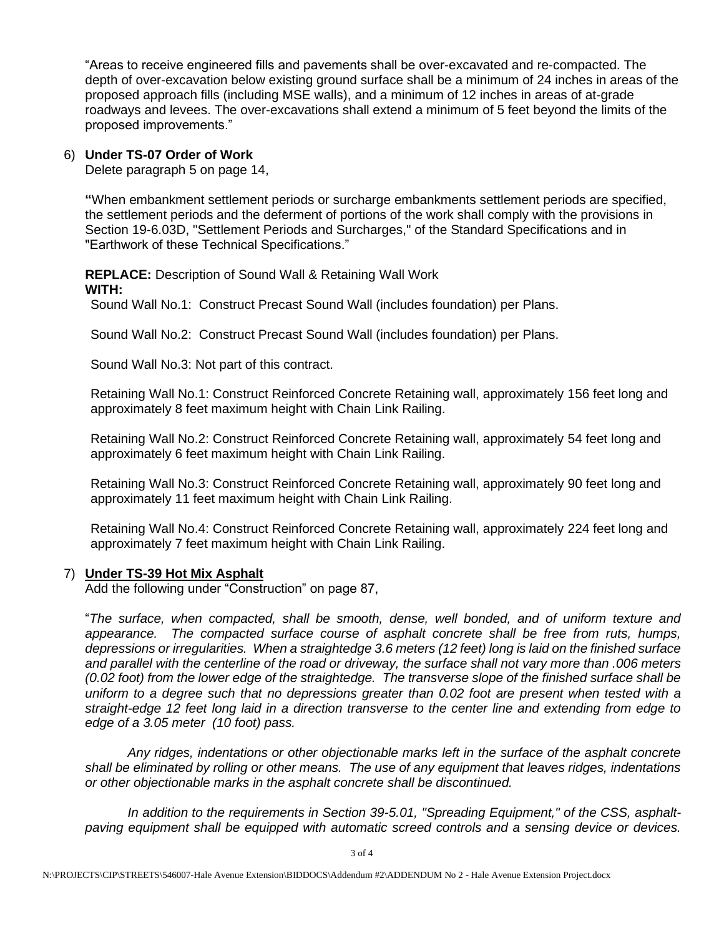"Areas to receive engineered fills and pavements shall be over-excavated and re-compacted. The depth of over-excavation below existing ground surface shall be a minimum of 24 inches in areas of the proposed approach fills (including MSE walls), and a minimum of 12 inches in areas of at-grade roadways and levees. The over-excavations shall extend a minimum of 5 feet beyond the limits of the proposed improvements."

## 6) **Under TS-07 Order of Work**

Delete paragraph 5 on page 14,

**"**When embankment settlement periods or surcharge embankments settlement periods are specified, the settlement periods and the deferment of portions of the work shall comply with the provisions in Section 19-6.03D, "Settlement Periods and Surcharges," of the Standard Specifications and in "Earthwork of these Technical Specifications."

**REPLACE:** Description of Sound Wall & Retaining Wall Work **WITH:**

Sound Wall No.1: Construct Precast Sound Wall (includes foundation) per Plans.

Sound Wall No.2: Construct Precast Sound Wall (includes foundation) per Plans.

Sound Wall No.3: Not part of this contract.

Retaining Wall No.1: Construct Reinforced Concrete Retaining wall, approximately 156 feet long and approximately 8 feet maximum height with Chain Link Railing.

Retaining Wall No.2: Construct Reinforced Concrete Retaining wall, approximately 54 feet long and approximately 6 feet maximum height with Chain Link Railing.

Retaining Wall No.3: Construct Reinforced Concrete Retaining wall, approximately 90 feet long and approximately 11 feet maximum height with Chain Link Railing.

Retaining Wall No.4: Construct Reinforced Concrete Retaining wall, approximately 224 feet long and approximately 7 feet maximum height with Chain Link Railing.

## 7) **Under TS-39 Hot Mix Asphalt**

Add the following under "Construction" on page 87,

"*The surface, when compacted, shall be smooth, dense, well bonded, and of uniform texture and appearance. The compacted surface course of asphalt concrete shall be free from ruts, humps, depressions or irregularities. When a straightedge 3.6 meters (12 feet) long is laid on the finished surface and parallel with the centerline of the road or driveway, the surface shall not vary more than .006 meters (0.02 foot) from the lower edge of the straightedge. The transverse slope of the finished surface shall be uniform to a degree such that no depressions greater than 0.02 foot are present when tested with a straight-edge 12 feet long laid in a direction transverse to the center line and extending from edge to edge of a 3.05 meter (10 foot) pass.*

*Any ridges, indentations or other objectionable marks left in the surface of the asphalt concrete shall be eliminated by rolling or other means. The use of any equipment that leaves ridges, indentations or other objectionable marks in the asphalt concrete shall be discontinued.* 

In addition to the requirements in Section 39-5.01, "Spreading Equipment," of the CSS, asphalt*paving equipment shall be equipped with automatic screed controls and a sensing device or devices.*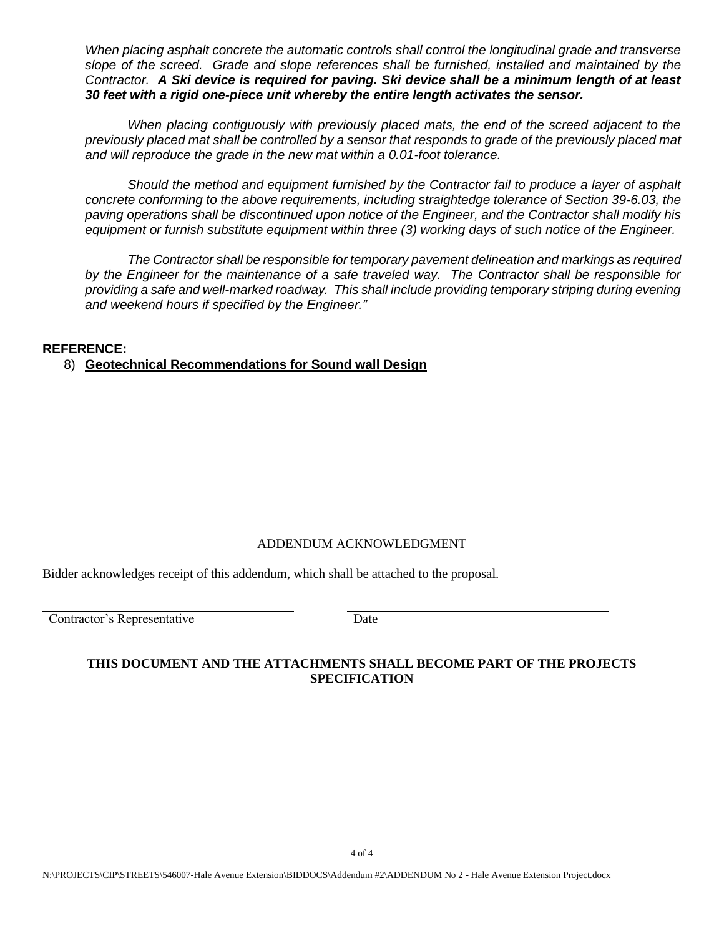*When placing asphalt concrete the automatic controls shall control the longitudinal grade and transverse slope of the screed. Grade and slope references shall be furnished, installed and maintained by the Contractor. A Ski device is required for paving. Ski device shall be a minimum length of at least 30 feet with a rigid one-piece unit whereby the entire length activates the sensor.*

*When placing contiguously with previously placed mats, the end of the screed adjacent to the previously placed mat shall be controlled by a sensor that responds to grade of the previously placed mat and will reproduce the grade in the new mat within a 0.01-foot tolerance.*

*Should the method and equipment furnished by the Contractor fail to produce a layer of asphalt concrete conforming to the above requirements, including straightedge tolerance of Section 39-6.03, the paving operations shall be discontinued upon notice of the Engineer, and the Contractor shall modify his equipment or furnish substitute equipment within three (3) working days of such notice of the Engineer.*

*The Contractor shall be responsible for temporary pavement delineation and markings as required by the Engineer for the maintenance of a safe traveled way. The Contractor shall be responsible for providing a safe and well-marked roadway. This shall include providing temporary striping during evening and weekend hours if specified by the Engineer."*

## **REFERENCE:**

8) **Geotechnical Recommendations for Sound wall Design**

## ADDENDUM ACKNOWLEDGMENT

Bidder acknowledges receipt of this addendum, which shall be attached to the proposal.

Contractor's Representative Date

## **THIS DOCUMENT AND THE ATTACHMENTS SHALL BECOME PART OF THE PROJECTS SPECIFICATION**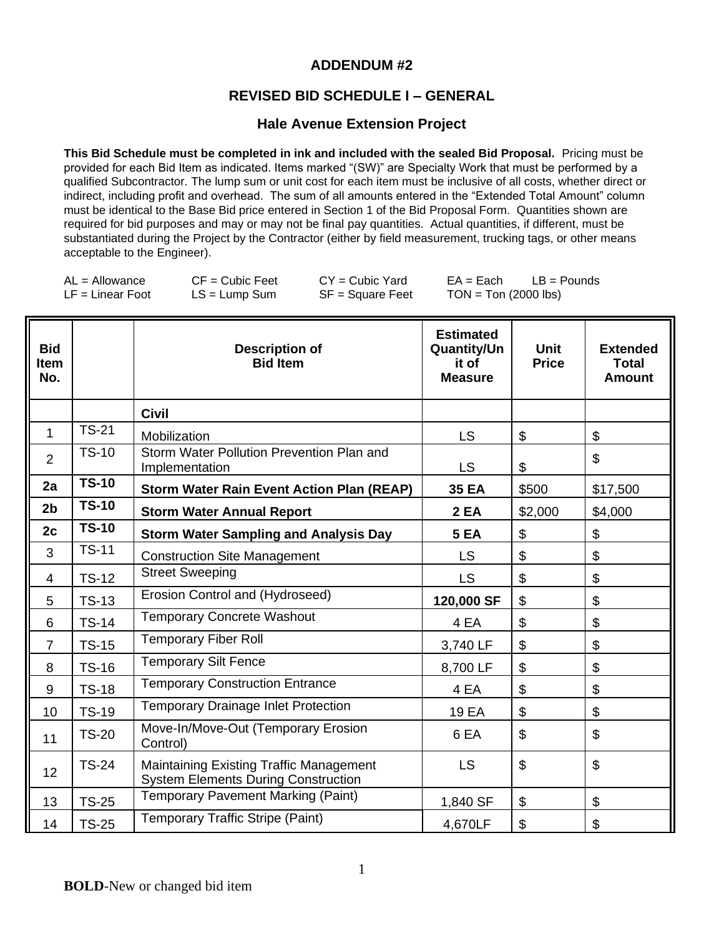# **ADDENDUM #2**

# **REVISED BID SCHEDULE I – GENERAL**

## **Hale Avenue Extension Project**

**This Bid Schedule must be completed in ink and included with the sealed Bid Proposal.** Pricing must be provided for each Bid Item as indicated. Items marked "(SW)" are Specialty Work that must be performed by a qualified Subcontractor. The lump sum or unit cost for each item must be inclusive of all costs, whether direct or indirect, including profit and overhead. The sum of all amounts entered in the "Extended Total Amount" column must be identical to the Base Bid price entered in Section 1 of the Bid Proposal Form. Quantities shown are required for bid purposes and may or may not be final pay quantities. Actual quantities, if different, must be substantiated during the Project by the Contractor (either by field measurement, trucking tags, or other means acceptable to the Engineer).

| $AL =$ Allowance   | $CF = Cubic Feet$ | $CY = Cubic Yard$  | $EA = Each$            | $LB =$ Pounds |
|--------------------|-------------------|--------------------|------------------------|---------------|
| $LF = Linear Foot$ | $LS = Lump Sum$   | $SF = Square$ Feet | $TON = Ton (2000 lbs)$ |               |

| <b>Bid</b><br><b>Item</b><br>No. |              | <b>Description of</b><br><b>Bid Item</b>                                                     | <b>Estimated</b><br><b>Quantity/Un</b><br>it of<br><b>Measure</b> | Unit<br><b>Price</b> | <b>Extended</b><br><b>Total</b><br><b>Amount</b> |
|----------------------------------|--------------|----------------------------------------------------------------------------------------------|-------------------------------------------------------------------|----------------------|--------------------------------------------------|
|                                  |              | <b>Civil</b>                                                                                 |                                                                   |                      |                                                  |
| $\mathbf{1}$                     | $TS-21$      | Mobilization                                                                                 | <b>LS</b>                                                         | \$                   | \$                                               |
| $\overline{2}$                   | <b>TS-10</b> | Storm Water Pollution Prevention Plan and<br>Implementation                                  | LS.                                                               | \$                   | \$                                               |
| 2a                               | $TS-10$      | <b>Storm Water Rain Event Action Plan (REAP)</b>                                             | <b>35 EA</b>                                                      | \$500                | \$17,500                                         |
| 2 <sub>b</sub>                   | <b>TS-10</b> | <b>Storm Water Annual Report</b>                                                             | <b>2 EA</b>                                                       | \$2,000              | \$4,000                                          |
| 2c                               | <b>TS-10</b> | <b>Storm Water Sampling and Analysis Day</b>                                                 | <b>5 EA</b>                                                       | \$                   | \$                                               |
| 3                                | <b>TS-11</b> | <b>Construction Site Management</b>                                                          | <b>LS</b>                                                         | \$                   | $\boldsymbol{\mathsf{S}}$                        |
| $\overline{4}$                   | $TS-12$      | <b>Street Sweeping</b>                                                                       | <b>LS</b>                                                         | \$                   | \$                                               |
| 5                                | <b>TS-13</b> | Erosion Control and (Hydroseed)                                                              | 120,000 SF                                                        | \$                   | $\boldsymbol{\mathsf{S}}$                        |
| 6                                | <b>TS-14</b> | <b>Temporary Concrete Washout</b>                                                            | 4 EA                                                              | \$                   | \$                                               |
| $\overline{7}$                   | <b>TS-15</b> | <b>Temporary Fiber Roll</b>                                                                  | 3,740 LF                                                          | \$                   | \$                                               |
| 8                                | <b>TS-16</b> | <b>Temporary Silt Fence</b>                                                                  | 8,700 LF                                                          | \$                   | \$                                               |
| 9                                | <b>TS-18</b> | <b>Temporary Construction Entrance</b>                                                       | 4 EA                                                              | \$                   | $\mathfrak{S}$                                   |
| 10                               | <b>TS-19</b> | <b>Temporary Drainage Inlet Protection</b>                                                   | 19 EA                                                             | \$                   | \$                                               |
| 11                               | <b>TS-20</b> | Move-In/Move-Out (Temporary Erosion<br>Control)                                              | 6 EA                                                              | \$                   | $\mathfrak{S}$                                   |
| 12                               | <b>TS-24</b> | <b>Maintaining Existing Traffic Management</b><br><b>System Elements During Construction</b> | <b>LS</b>                                                         | \$                   | $\mathfrak{S}$                                   |
| 13                               | <b>TS-25</b> | Temporary Pavement Marking (Paint)                                                           | 1,840 SF                                                          | \$                   | \$                                               |
| 14                               | <b>TS-25</b> | Temporary Traffic Stripe (Paint)                                                             | 4,670LF                                                           | \$                   | \$                                               |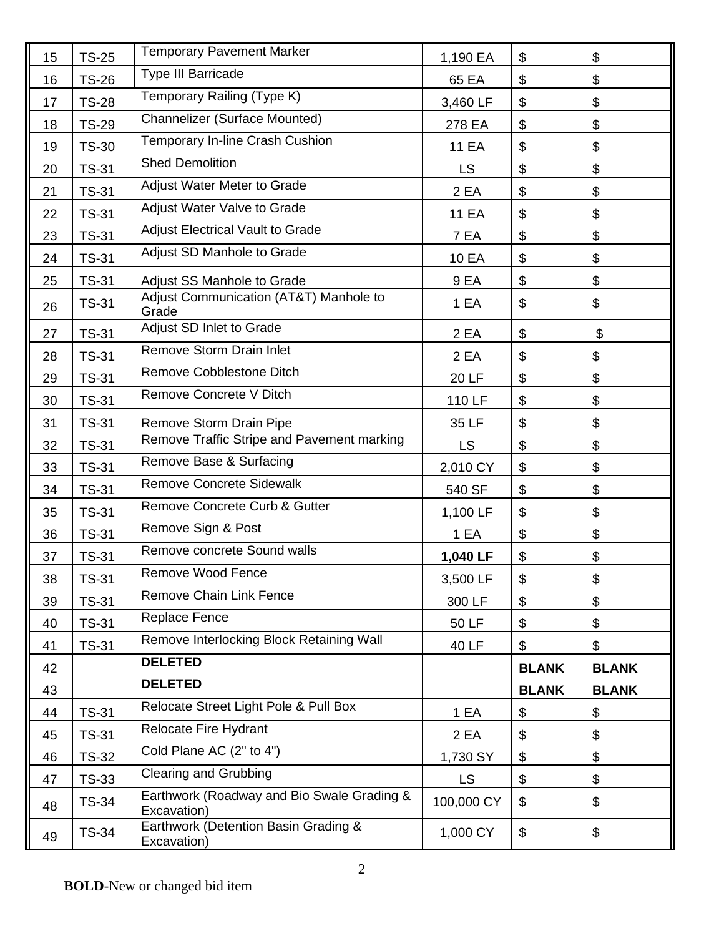| 15 | <b>TS-25</b> | <b>Temporary Pavement Marker</b>                          | 1,190 EA     | \$                              | $\boldsymbol{\mathsf{S}}$ |
|----|--------------|-----------------------------------------------------------|--------------|---------------------------------|---------------------------|
| 16 | <b>TS-26</b> | <b>Type III Barricade</b>                                 | 65 EA        | \$                              | \$                        |
| 17 | <b>TS-28</b> | Temporary Railing (Type K)                                | 3,460 LF     | \$                              | $\boldsymbol{\mathsf{S}}$ |
| 18 | <b>TS-29</b> | Channelizer (Surface Mounted)                             | 278 EA       | \$                              | $\boldsymbol{\mathsf{S}}$ |
| 19 | <b>TS-30</b> | Temporary In-line Crash Cushion                           | <b>11 EA</b> | \$                              | \$                        |
| 20 | <b>TS-31</b> | <b>Shed Demolition</b>                                    | <b>LS</b>    | $\boldsymbol{\mathsf{S}}$<br>\$ |                           |
| 21 | <b>TS-31</b> | Adjust Water Meter to Grade                               | 2 EA         | \$                              | \$                        |
| 22 | <b>TS-31</b> | Adjust Water Valve to Grade                               | <b>11 EA</b> | \$                              | $\boldsymbol{\mathsf{S}}$ |
| 23 | <b>TS-31</b> | <b>Adjust Electrical Vault to Grade</b>                   | 7 EA         | \$                              | \$                        |
| 24 | <b>TS-31</b> | Adjust SD Manhole to Grade                                | 10 EA        | \$                              | $\boldsymbol{\mathsf{S}}$ |
| 25 | <b>TS-31</b> | Adjust SS Manhole to Grade                                | 9 EA         | \$                              | $\boldsymbol{\mathsf{S}}$ |
| 26 | <b>TS-31</b> | Adjust Communication (AT&T) Manhole to<br>Grade           | 1 EA         | \$                              | \$                        |
| 27 | <b>TS-31</b> | Adjust SD Inlet to Grade                                  | 2 EA         | \$                              | \$                        |
| 28 | <b>TS-31</b> | Remove Storm Drain Inlet                                  | 2 EA         | \$                              | $\boldsymbol{\mathsf{S}}$ |
| 29 | <b>TS-31</b> | Remove Cobblestone Ditch                                  | <b>20 LF</b> | \$                              | $\boldsymbol{\mathsf{S}}$ |
| 30 | <b>TS-31</b> | <b>Remove Concrete V Ditch</b>                            | 110 LF       | \$                              | \$                        |
| 31 | <b>TS-31</b> | Remove Storm Drain Pipe                                   | 35 LF        | \$                              | $\boldsymbol{\mathsf{S}}$ |
| 32 | <b>TS-31</b> | Remove Traffic Stripe and Pavement marking                | LS.          | \$                              | $\boldsymbol{\theta}$     |
| 33 | <b>TS-31</b> | Remove Base & Surfacing                                   | 2,010 CY     | $\boldsymbol{\mathsf{S}}$       | $\boldsymbol{\mathsf{S}}$ |
| 34 | <b>TS-31</b> | <b>Remove Concrete Sidewalk</b>                           | 540 SF       | \$                              | $\boldsymbol{\mathsf{S}}$ |
| 35 | <b>TS-31</b> | Remove Concrete Curb & Gutter                             | 1,100 LF     | \$                              | $\boldsymbol{\mathsf{S}}$ |
| 36 | <b>TS-31</b> | Remove Sign & Post                                        | 1 EA         | \$                              | $\boldsymbol{\mathsf{S}}$ |
| 37 | <b>TS-31</b> | Remove concrete Sound walls                               | 1,040 LF     | \$                              | \$                        |
| 38 | <b>TS-31</b> | Remove Wood Fence                                         | 3,500 LF     | \$                              | $\boldsymbol{\mathsf{S}}$ |
| 39 | <b>TS-31</b> | <b>Remove Chain Link Fence</b>                            | 300 LF       | \$                              | \$                        |
| 40 | <b>TS-31</b> | Replace Fence                                             | 50 LF        | \$                              | \$                        |
| 41 | <b>TS-31</b> | Remove Interlocking Block Retaining Wall                  | 40 LF        | \$                              | $\boldsymbol{\mathsf{S}}$ |
| 42 |              | <b>DELETED</b>                                            |              | <b>BLANK</b>                    | <b>BLANK</b>              |
| 43 |              | <b>DELETED</b>                                            |              | <b>BLANK</b>                    | <b>BLANK</b>              |
| 44 | <b>TS-31</b> | Relocate Street Light Pole & Pull Box                     | 1 EA         | \$                              | \$                        |
| 45 | <b>TS-31</b> | Relocate Fire Hydrant                                     | 2 EA         | \$                              | $\boldsymbol{\mathsf{S}}$ |
| 46 | <b>TS-32</b> | Cold Plane AC (2" to 4")                                  | 1,730 SY     | \$                              | \$                        |
| 47 | <b>TS-33</b> | <b>Clearing and Grubbing</b>                              | LS.          | \$                              | $\boldsymbol{\theta}$     |
| 48 | <b>TS-34</b> | Earthwork (Roadway and Bio Swale Grading &<br>Excavation) | 100,000 CY   | $\mathfrak{L}$                  | \$                        |
| 49 | <b>TS-34</b> | Earthwork (Detention Basin Grading &<br>Excavation)       | 1,000 CY     | \$                              | $\$\$                     |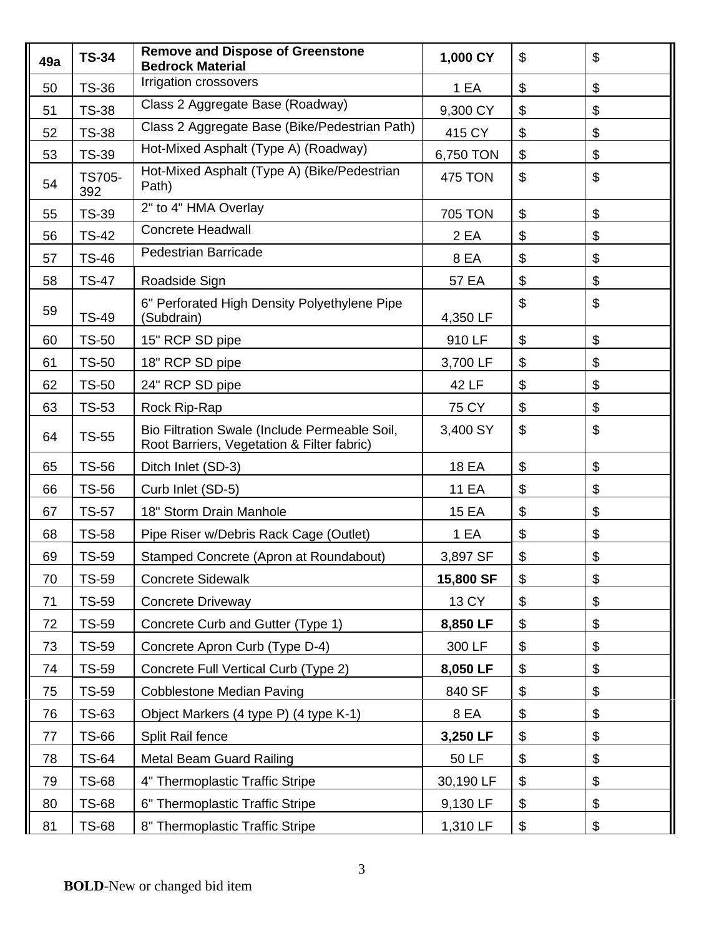| 49a | <b>TS-34</b>         | <b>Remove and Dispose of Greenstone</b><br><b>Bedrock Material</b>                          | 1,000 CY       | \$    | $\mathfrak{S}$            |
|-----|----------------------|---------------------------------------------------------------------------------------------|----------------|-------|---------------------------|
| 50  | <b>TS-36</b>         | Irrigation crossovers                                                                       | 1 EA           | \$    | \$                        |
| 51  | <b>TS-38</b>         | Class 2 Aggregate Base (Roadway)                                                            | 9,300 CY       | \$    | \$                        |
| 52  | <b>TS-38</b>         | Class 2 Aggregate Base (Bike/Pedestrian Path)                                               | 415 CY         | \$    | \$                        |
| 53  | <b>TS-39</b>         | Hot-Mixed Asphalt (Type A) (Roadway)                                                        | 6,750 TON      | \$    | $\boldsymbol{\mathsf{S}}$ |
| 54  | <b>TS705-</b><br>392 | Hot-Mixed Asphalt (Type A) (Bike/Pedestrian<br>Path)                                        | <b>475 TON</b> | \$    | \$                        |
| 55  | <b>TS-39</b>         | 2" to 4" HMA Overlay                                                                        | <b>705 TON</b> | \$    | $\boldsymbol{\mathsf{S}}$ |
| 56  | <b>TS-42</b>         | <b>Concrete Headwall</b>                                                                    | 2 EA           | \$    | $\boldsymbol{\theta}$     |
| 57  | <b>TS-46</b>         | <b>Pedestrian Barricade</b>                                                                 | 8 EA           | \$    | $\boldsymbol{\theta}$     |
| 58  | <b>TS-47</b>         | Roadside Sign                                                                               | 57 EA          | \$    | \$                        |
| 59  | <b>TS-49</b>         | 6" Perforated High Density Polyethylene Pipe<br>(Subdrain)                                  | 4,350 LF       | \$    | \$                        |
| 60  | <b>TS-50</b>         | 15" RCP SD pipe                                                                             | 910 LF         | \$    | $\boldsymbol{\mathsf{S}}$ |
| 61  | <b>TS-50</b>         | 18" RCP SD pipe                                                                             | 3,700 LF       | \$    | $\boldsymbol{\theta}$     |
| 62  | <b>TS-50</b>         | 24" RCP SD pipe                                                                             | 42 LF          | \$    | \$                        |
| 63  | <b>TS-53</b>         | Rock Rip-Rap                                                                                | 75 CY          | \$    | \$                        |
| 64  | <b>TS-55</b>         | Bio Filtration Swale (Include Permeable Soil,<br>Root Barriers, Vegetation & Filter fabric) | 3,400 SY       | \$    | \$                        |
| 65  | <b>TS-56</b>         | Ditch Inlet (SD-3)                                                                          | <b>18 EA</b>   | $\$\$ | $\boldsymbol{\mathsf{S}}$ |
| 66  | <b>TS-56</b>         | Curb Inlet (SD-5)                                                                           | <b>11 EA</b>   | \$    | \$                        |
| 67  | <b>TS-57</b>         | 18" Storm Drain Manhole                                                                     | <b>15 EA</b>   | \$    | $\boldsymbol{\theta}$     |
| 68  | <b>TS-58</b>         | Pipe Riser w/Debris Rack Cage (Outlet)                                                      | 1 EA           | \$    | $\boldsymbol{\mathsf{S}}$ |
| 69  | <b>TS-59</b>         | Stamped Concrete (Apron at Roundabout)                                                      | 3,897 SF       | \$    | \$                        |
| 70  | <b>TS-59</b>         | <b>Concrete Sidewalk</b>                                                                    | 15,800 SF      | \$    | \$                        |
| 71  | <b>TS-59</b>         | <b>Concrete Driveway</b>                                                                    | 13 CY          | \$    | $\boldsymbol{\theta}$     |
| 72  | TS-59                | Concrete Curb and Gutter (Type 1)                                                           | 8,850 LF       | \$    | \$                        |
| 73  | <b>TS-59</b>         | Concrete Apron Curb (Type D-4)                                                              | 300 LF         | \$    | \$                        |
| 74  | <b>TS-59</b>         | Concrete Full Vertical Curb (Type 2)                                                        | 8,050 LF       | \$    | \$                        |
| 75  | <b>TS-59</b>         | <b>Cobblestone Median Paving</b>                                                            | 840 SF         | \$    | $\boldsymbol{\theta}$     |
| 76  | <b>TS-63</b>         | Object Markers (4 type P) (4 type K-1)                                                      | 8 EA           | \$    | $\boldsymbol{\theta}$     |
| 77  | TS-66                | Split Rail fence                                                                            | 3,250 LF       | \$    | \$                        |
| 78  | <b>TS-64</b>         | <b>Metal Beam Guard Railing</b>                                                             | 50 LF          | \$    | $\boldsymbol{\theta}$     |
| 79  | <b>TS-68</b>         | 4" Thermoplastic Traffic Stripe                                                             | 30,190 LF      | \$    | \$                        |
| 80  | <b>TS-68</b>         | 6" Thermoplastic Traffic Stripe                                                             | 9,130 LF       | \$    | $\boldsymbol{\mathsf{S}}$ |
| 81  | <b>TS-68</b>         | 8" Thermoplastic Traffic Stripe                                                             | 1,310 LF       | \$    | \$                        |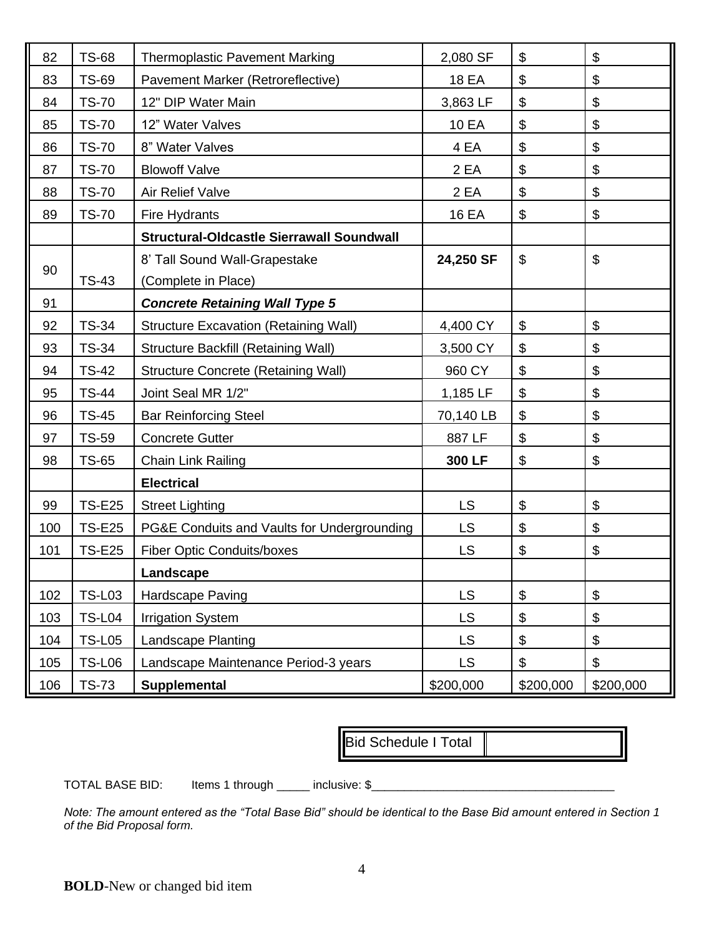| 82  | <b>TS-68</b>  | <b>Thermoplastic Pavement Marking</b>            | 2,080 SF     | \$        | $\boldsymbol{\mathsf{S}}$ |
|-----|---------------|--------------------------------------------------|--------------|-----------|---------------------------|
| 83  | <b>TS-69</b>  | Pavement Marker (Retroreflective)                | <b>18 EA</b> | \$        | $\boldsymbol{\theta}$     |
| 84  | <b>TS-70</b>  | 12" DIP Water Main                               | 3,863 LF     | \$        | $\boldsymbol{\mathsf{S}}$ |
| 85  | <b>TS-70</b>  | 12" Water Valves                                 | <b>10 EA</b> | \$        | $\boldsymbol{\mathsf{S}}$ |
| 86  | <b>TS-70</b>  | 8" Water Valves                                  | 4 EA         | \$        | $\boldsymbol{\mathsf{S}}$ |
| 87  | <b>TS-70</b>  | <b>Blowoff Valve</b>                             | 2 EA         | \$        | $\boldsymbol{\mathsf{S}}$ |
| 88  | <b>TS-70</b>  | Air Relief Valve                                 | 2 EA         | \$        | \$                        |
| 89  | <b>TS-70</b>  | Fire Hydrants                                    | <b>16 EA</b> | \$        | $\boldsymbol{\mathsf{S}}$ |
|     |               | <b>Structural-Oldcastle Sierrawall Soundwall</b> |              |           |                           |
|     |               | 8' Tall Sound Wall-Grapestake                    | 24,250 SF    | \$        | $\boldsymbol{\mathsf{S}}$ |
| 90  | <b>TS-43</b>  | (Complete in Place)                              |              |           |                           |
| 91  |               | <b>Concrete Retaining Wall Type 5</b>            |              |           |                           |
| 92  | <b>TS-34</b>  | <b>Structure Excavation (Retaining Wall)</b>     | 4,400 CY     | $\$\$     | $\boldsymbol{\mathsf{S}}$ |
| 93  | <b>TS-34</b>  | <b>Structure Backfill (Retaining Wall)</b>       | 3,500 CY     | \$        | $\boldsymbol{\theta}$     |
| 94  | <b>TS-42</b>  | <b>Structure Concrete (Retaining Wall)</b>       | 960 CY       | \$        | $\boldsymbol{\mathsf{S}}$ |
| 95  | <b>TS-44</b>  | Joint Seal MR 1/2"                               | 1,185 LF     | \$        | $\boldsymbol{\mathsf{S}}$ |
| 96  | <b>TS-45</b>  | <b>Bar Reinforcing Steel</b>                     | 70,140 LB    | \$        | $\boldsymbol{\theta}$     |
| 97  | <b>TS-59</b>  | <b>Concrete Gutter</b>                           | 887 LF       | \$        | $\boldsymbol{\mathsf{S}}$ |
| 98  | <b>TS-65</b>  | <b>Chain Link Railing</b>                        | 300 LF       | \$        | $\boldsymbol{\mathsf{S}}$ |
|     |               | <b>Electrical</b>                                |              |           |                           |
| 99  | <b>TS-E25</b> | <b>Street Lighting</b>                           | LS.          | \$        | $\boldsymbol{\mathsf{S}}$ |
| 100 | <b>TS-E25</b> | PG&E Conduits and Vaults for Undergrounding      | <b>LS</b>    | \$        | $\boldsymbol{\mathsf{S}}$ |
| 101 | <b>TS-E25</b> | <b>Fiber Optic Conduits/boxes</b>                | <b>LS</b>    | \$        | \$                        |
|     |               | Landscape                                        |              |           |                           |
| 102 | <b>TS-L03</b> | Hardscape Paving                                 | <b>LS</b>    | \$        | $\$\$                     |
| 103 | <b>TS-L04</b> | <b>Irrigation System</b>                         | <b>LS</b>    | \$        | $\boldsymbol{\mathsf{S}}$ |
| 104 | <b>TS-L05</b> | Landscape Planting                               | <b>LS</b>    | \$        | \$                        |
| 105 | <b>TS-L06</b> | Landscape Maintenance Period-3 years             | LS.          | \$        | $\boldsymbol{\mathsf{S}}$ |
| 106 | <b>TS-73</b>  | <b>Supplemental</b>                              | \$200,000    | \$200,000 | \$200,000                 |

Bid Schedule I Total

TOTAL BASE BID: Items 1 through \_\_\_\_\_\_ inclusive: \$

*Note: The amount entered as the "Total Base Bid" should be identical to the Base Bid amount entered in Section 1 of the Bid Proposal form.*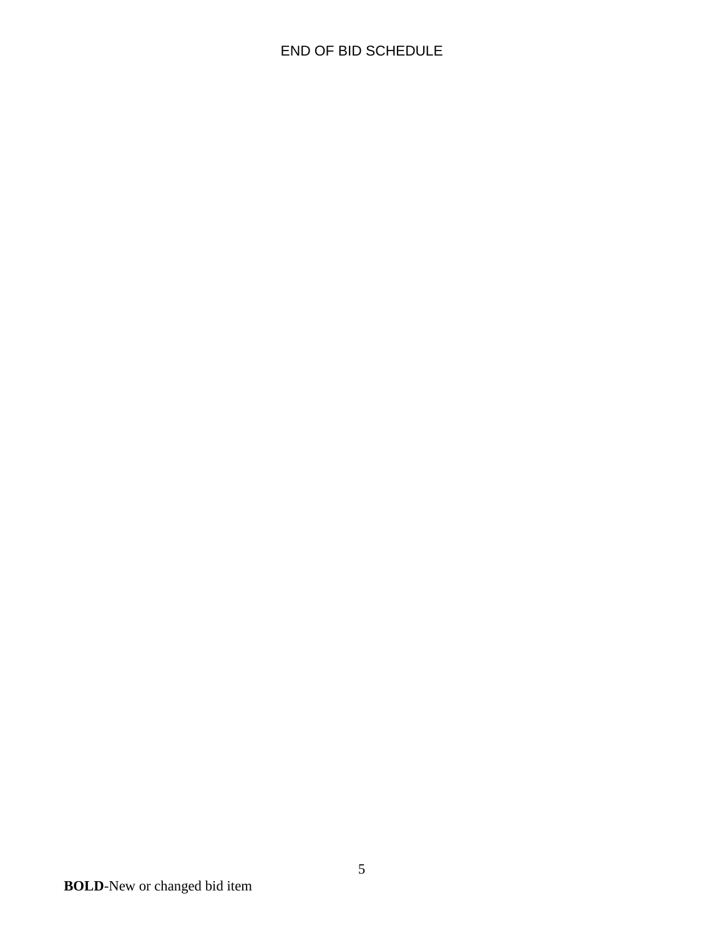# END OF BID SCHEDULE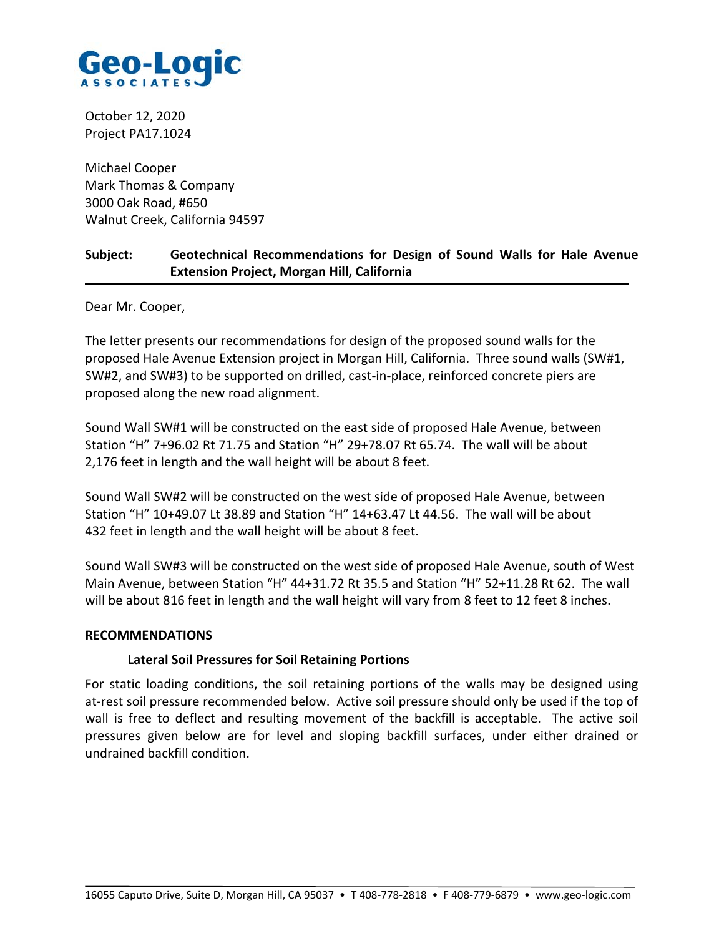

October 12, 2020 Project PA17.1024

Michael Cooper Mark Thomas & Company 3000 Oak Road, #650 Walnut Creek, California 94597

# **Subject: Geotechnical Recommendations for Design of Sound Walls for Hale Avenue Extension Project, Morgan Hill, California**

Dear Mr. Cooper,

The letter presents our recommendations for design of the proposed sound walls for the proposed Hale Avenue Extension project in Morgan Hill, California. Three sound walls (SW#1, SW#2, and SW#3) to be supported on drilled, cast‐in‐place, reinforced concrete piers are proposed along the new road alignment.

Sound Wall SW#1 will be constructed on the east side of proposed Hale Avenue, between Station "H" 7+96.02 Rt 71.75 and Station "H" 29+78.07 Rt 65.74. The wall will be about 2,176 feet in length and the wall height will be about 8 feet.

Sound Wall SW#2 will be constructed on the west side of proposed Hale Avenue, between Station "H" 10+49.07 Lt 38.89 and Station "H" 14+63.47 Lt 44.56. The wall will be about 432 feet in length and the wall height will be about 8 feet.

Sound Wall SW#3 will be constructed on the west side of proposed Hale Avenue, south of West Main Avenue, between Station "H" 44+31.72 Rt 35.5 and Station "H" 52+11.28 Rt 62. The wall will be about 816 feet in length and the wall height will vary from 8 feet to 12 feet 8 inches.

## **RECOMMENDATIONS**

## **Lateral Soil Pressures for Soil Retaining Portions**

For static loading conditions, the soil retaining portions of the walls may be designed using at-rest soil pressure recommended below. Active soil pressure should only be used if the top of wall is free to deflect and resulting movement of the backfill is acceptable. The active soil pressures given below are for level and sloping backfill surfaces, under either drained or undrained backfill condition.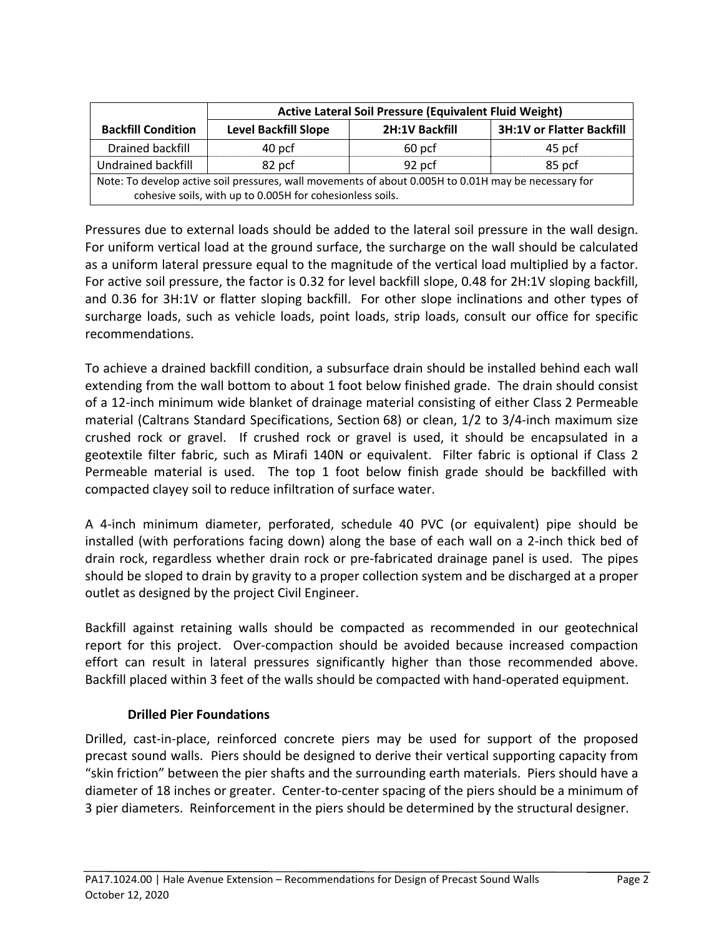|                                                                                                      | <b>Active Lateral Soil Pressure (Equivalent Fluid Weight)</b> |                |                                  |  |  |
|------------------------------------------------------------------------------------------------------|---------------------------------------------------------------|----------------|----------------------------------|--|--|
| <b>Backfill Condition</b>                                                                            | <b>Level Backfill Slope</b>                                   | 2H:1V Backfill | <b>3H:1V or Flatter Backfill</b> |  |  |
| Drained backfill                                                                                     | 40 pcf                                                        | 60 pcf         | 45 pcf                           |  |  |
| Undrained backfill                                                                                   | 82 pcf                                                        | 92 pcf         | 85 pcf                           |  |  |
| Note: To develop active soil pressures, wall movements of about 0.005H to 0.01H may be necessary for |                                                               |                |                                  |  |  |
| cohesive soils, with up to 0.005H for cohesionless soils.                                            |                                                               |                |                                  |  |  |

Pressures due to external loads should be added to the lateral soil pressure in the wall design. For uniform vertical load at the ground surface, the surcharge on the wall should be calculated as a uniform lateral pressure equal to the magnitude of the vertical load multiplied by a factor. For active soil pressure, the factor is 0.32 for level backfill slope, 0.48 for 2H:1V sloping backfill, and 0.36 for 3H:1V or flatter sloping backfill. For other slope inclinations and other types of surcharge loads, such as vehicle loads, point loads, strip loads, consult our office for specific recommendations.

To achieve a drained backfill condition, a subsurface drain should be installed behind each wall extending from the wall bottom to about 1 foot below finished grade. The drain should consist of a 12‐inch minimum wide blanket of drainage material consisting of either Class 2 Permeable material (Caltrans Standard Specifications, Section 68) or clean, 1/2 to 3/4‐inch maximum size crushed rock or gravel. If crushed rock or gravel is used, it should be encapsulated in a geotextile filter fabric, such as Mirafi 140N or equivalent. Filter fabric is optional if Class 2 Permeable material is used. The top 1 foot below finish grade should be backfilled with compacted clayey soil to reduce infiltration of surface water.

A 4‐inch minimum diameter, perforated, schedule 40 PVC (or equivalent) pipe should be installed (with perforations facing down) along the base of each wall on a 2‐inch thick bed of drain rock, regardless whether drain rock or pre‐fabricated drainage panel is used. The pipes should be sloped to drain by gravity to a proper collection system and be discharged at a proper outlet as designed by the project Civil Engineer.

Backfill against retaining walls should be compacted as recommended in our geotechnical report for this project. Over-compaction should be avoided because increased compaction effort can result in lateral pressures significantly higher than those recommended above. Backfill placed within 3 feet of the walls should be compacted with hand‐operated equipment.

# **Drilled Pier Foundations**

Drilled, cast-in-place, reinforced concrete piers may be used for support of the proposed precast sound walls. Piers should be designed to derive their vertical supporting capacity from "skin friction" between the pier shafts and the surrounding earth materials. Piers should have a diameter of 18 inches or greater. Center‐to‐center spacing of the piers should be a minimum of 3 pier diameters. Reinforcement in the piers should be determined by the structural designer.